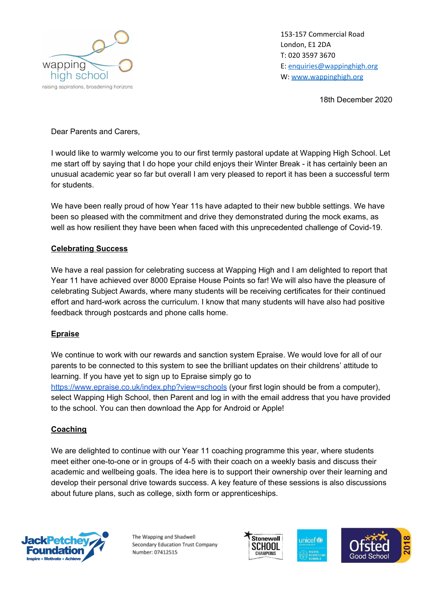

153-157 Commercial Road London, E1 2DA T: 020 3597 3670 E: [enquiries@wappinghigh.org](mailto:enquiries@wappinghigh.org) W: [www.wappinghigh.org](http://www.wappinghigh.org/)

18th December 2020

Dear Parents and Carers,

I would like to warmly welcome you to our first termly pastoral update at Wapping High School. Let me start off by saying that I do hope your child enjoys their Winter Break - it has certainly been an unusual academic year so far but overall I am very pleased to report it has been a successful term for students.

We have been really proud of how Year 11s have adapted to their new bubble settings. We have been so pleased with the commitment and drive they demonstrated during the mock exams, as well as how resilient they have been when faced with this unprecedented challenge of Covid-19.

### **Celebrating Success**

We have a real passion for celebrating success at Wapping High and I am delighted to report that Year 11 have achieved over 8000 Epraise House Points so far! We will also have the pleasure of celebrating Subject Awards, where many students will be receiving certificates for their continued effort and hard-work across the curriculum. I know that many students will have also had positive feedback through postcards and phone calls home.

#### **Epraise**

We continue to work with our rewards and sanction system Epraise. We would love for all of our parents to be connected to this system to see the brilliant updates on their childrens' attitude to learning. If you have yet to sign up to Epraise simply go to <https://www.epraise.co.uk/index.php?view=schools> (your first login should be from a computer), select Wapping High School, then Parent and log in with the email address that you have provided to the school. You can then download the App for Android or Apple!

#### **Coaching**

We are delighted to continue with our Year 11 coaching programme this year, where students meet either one-to-one or in groups of 4-5 with their coach on a weekly basis and discuss their academic and wellbeing goals. The idea here is to support their ownership over their learning and develop their personal drive towards success. A key feature of these sessions is also discussions about future plans, such as college, sixth form or apprenticeships.



The Wapping and Shadwell Secondary Education Trust Company Number: 07412515